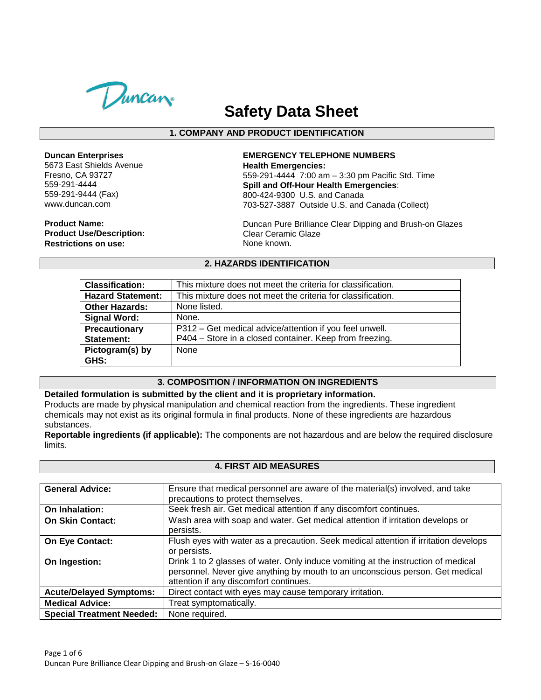

# **Safety Data Sheet**

## **1. COMPANY AND PRODUCT IDENTIFICATION**

#### **Duncan Enterprises**

5673 East Shields Avenue Fresno, CA 93727 559-291-4444 559-291-9444 (Fax) www.duncan.com

**Product Name: Product Use/Description: Restrictions on use:**

## **EMERGENCY TELEPHONE NUMBERS Health Emergencies:**

559-291-4444 7:00 am – 3:30 pm Pacific Std. Time **Spill and Off-Hour Health Emergencies**: 800-424-9300 U.S. and Canada 703-527-3887 Outside U.S. and Canada (Collect)

Duncan Pure Brilliance Clear Dipping and Brush-on Glazes Clear Ceramic Glaze None known.

## **2. HAZARDS IDENTIFICATION**

| <b>Classification:</b>   | This mixture does not meet the criteria for classification. |
|--------------------------|-------------------------------------------------------------|
| <b>Hazard Statement:</b> | This mixture does not meet the criteria for classification. |
| <b>Other Hazards:</b>    | None listed.                                                |
| <b>Signal Word:</b>      | None.                                                       |
| Precautionary            | P312 – Get medical advice/attention if you feel unwell.     |
| Statement:               | P404 - Store in a closed container. Keep from freezing.     |
| Pictogram(s) by          | None                                                        |
| GHS:                     |                                                             |

## **3. COMPOSITION / INFORMATION ON INGREDIENTS**

#### **Detailed formulation is submitted by the client and it is proprietary information.**

Products are made by physical manipulation and chemical reaction from the ingredients. These ingredient chemicals may not exist as its original formula in final products. None of these ingredients are hazardous substances.

**Reportable ingredients (if applicable):** The components are not hazardous and are below the required disclosure limits.

#### **4. FIRST AID MEASURES**

| <b>General Advice:</b>           | Ensure that medical personnel are aware of the material(s) involved, and take        |
|----------------------------------|--------------------------------------------------------------------------------------|
|                                  | precautions to protect themselves.                                                   |
| On Inhalation:                   | Seek fresh air. Get medical attention if any discomfort continues.                   |
| <b>On Skin Contact:</b>          | Wash area with soap and water. Get medical attention if irritation develops or       |
|                                  | persists.                                                                            |
| On Eye Contact:                  | Flush eyes with water as a precaution. Seek medical attention if irritation develops |
|                                  | or persists.                                                                         |
| On Ingestion:                    | Drink 1 to 2 glasses of water. Only induce vomiting at the instruction of medical    |
|                                  | personnel. Never give anything by mouth to an unconscious person. Get medical        |
|                                  | attention if any discomfort continues.                                               |
| <b>Acute/Delayed Symptoms:</b>   | Direct contact with eyes may cause temporary irritation.                             |
| <b>Medical Advice:</b>           | Treat symptomatically.                                                               |
| <b>Special Treatment Needed:</b> | None required.                                                                       |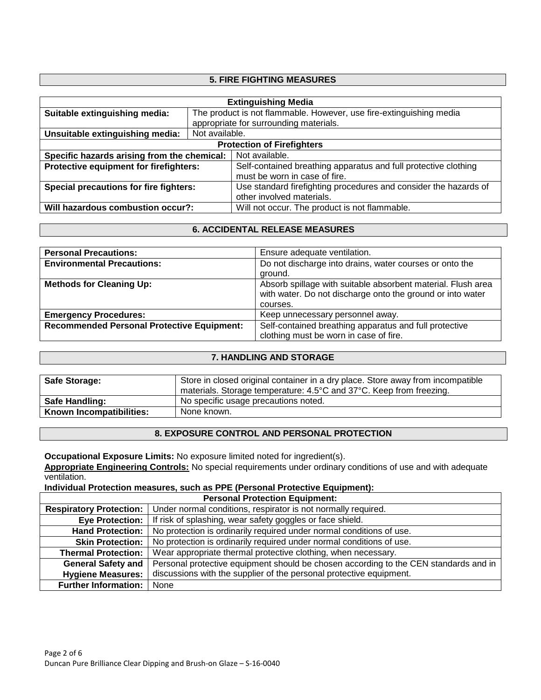## **5. FIRE FIGHTING MEASURES**

| <b>Extinguishing Media</b>                  |                                                                     |                                                                  |  |
|---------------------------------------------|---------------------------------------------------------------------|------------------------------------------------------------------|--|
| Suitable extinguishing media:               | The product is not flammable. However, use fire-extinguishing media |                                                                  |  |
|                                             | appropriate for surrounding materials.                              |                                                                  |  |
| Unsuitable extinguishing media:             | Not available.                                                      |                                                                  |  |
| <b>Protection of Firefighters</b>           |                                                                     |                                                                  |  |
| Specific hazards arising from the chemical: |                                                                     | Not available.                                                   |  |
| Protective equipment for firefighters:      |                                                                     | Self-contained breathing apparatus and full protective clothing  |  |
|                                             |                                                                     | must be worn in case of fire.                                    |  |
| Special precautions for fire fighters:      |                                                                     | Use standard firefighting procedures and consider the hazards of |  |
|                                             |                                                                     | other involved materials.                                        |  |
| Will hazardous combustion occur?:           |                                                                     | Will not occur. The product is not flammable.                    |  |

### **6. ACCIDENTAL RELEASE MEASURES**

| <b>Personal Precautions:</b>                      | Ensure adequate ventilation.                                                                                                           |
|---------------------------------------------------|----------------------------------------------------------------------------------------------------------------------------------------|
| <b>Environmental Precautions:</b>                 | Do not discharge into drains, water courses or onto the<br>ground.                                                                     |
| <b>Methods for Cleaning Up:</b>                   | Absorb spillage with suitable absorbent material. Flush area<br>with water. Do not discharge onto the ground or into water<br>courses. |
| <b>Emergency Procedures:</b>                      | Keep unnecessary personnel away.                                                                                                       |
| <b>Recommended Personal Protective Equipment:</b> | Self-contained breathing apparatus and full protective                                                                                 |
|                                                   | clothing must be worn in case of fire.                                                                                                 |

#### **7. HANDLING AND STORAGE**

| <b>Safe Storage:</b>     | Store in closed original container in a dry place. Store away from incompatible<br>materials. Storage temperature: 4.5°C and 37°C. Keep from freezing. |
|--------------------------|--------------------------------------------------------------------------------------------------------------------------------------------------------|
| <b>Safe Handling:</b>    | No specific usage precautions noted.                                                                                                                   |
| Known Incompatibilities: | None known.                                                                                                                                            |

## **8. EXPOSURE CONTROL AND PERSONAL PROTECTION**

**Occupational Exposure Limits:** No exposure limited noted for ingredient(s).

**Appropriate Engineering Controls:** No special requirements under ordinary conditions of use and with adequate ventilation.

**Individual Protection measures, such as PPE (Personal Protective Equipment):**

| <b>Personal Protection Equipment:</b> |                                                                                      |  |
|---------------------------------------|--------------------------------------------------------------------------------------|--|
| <b>Respiratory Protection:</b>        | Under normal conditions, respirator is not normally required.                        |  |
| <b>Eye Protection:</b>                | If risk of splashing, wear safety goggles or face shield.                            |  |
| <b>Hand Protection:</b>               | No protection is ordinarily required under normal conditions of use.                 |  |
| <b>Skin Protection:</b>               | No protection is ordinarily required under normal conditions of use.                 |  |
| <b>Thermal Protection:</b>            | Wear appropriate thermal protective clothing, when necessary.                        |  |
| <b>General Safety and</b>             | Personal protective equipment should be chosen according to the CEN standards and in |  |
| <b>Hygiene Measures:</b>              | discussions with the supplier of the personal protective equipment.                  |  |
| <b>Further Information:</b>           | None                                                                                 |  |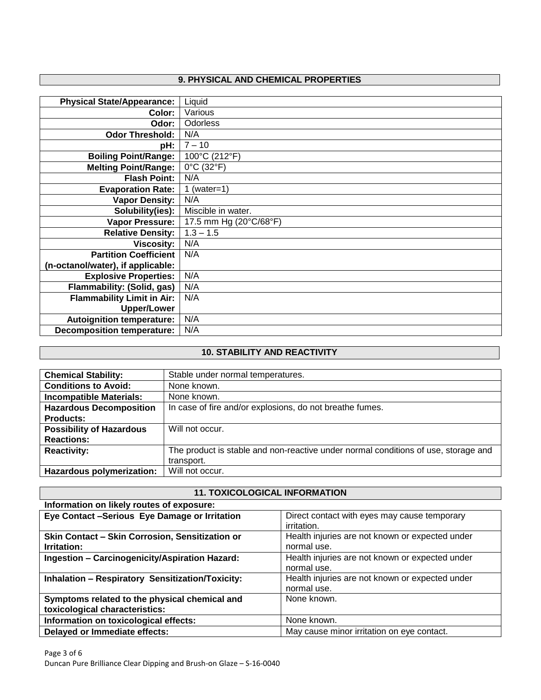# **9. PHYSICAL AND CHEMICAL PROPERTIES**

| <b>Physical State/Appearance:</b> | Liquid                 |
|-----------------------------------|------------------------|
| Color:                            | Various                |
| Odor:                             | <b>Odorless</b>        |
| <b>Odor Threshold:</b>            | N/A                    |
| pH:                               | $7 - 10$               |
| <b>Boiling Point/Range:</b>       | 100°C (212°F)          |
| <b>Melting Point/Range:</b>       | 0°C (32°F)             |
| <b>Flash Point:</b>               | N/A                    |
| <b>Evaporation Rate:</b>          | 1 (water=1)            |
| <b>Vapor Density:</b>             | N/A                    |
| Solubility(ies):                  | Miscible in water.     |
| <b>Vapor Pressure:</b>            | 17.5 mm Hg (20°C/68°F) |
| <b>Relative Density:</b>          | $1.3 - 1.5$            |
| <b>Viscosity:</b>                 | N/A                    |
| <b>Partition Coefficient</b>      | N/A                    |
| (n-octanol/water), if applicable: |                        |
| <b>Explosive Properties:</b>      | N/A                    |
| Flammability: (Solid, gas)        | N/A                    |
| <b>Flammability Limit in Air:</b> | N/A                    |
| <b>Upper/Lower</b>                |                        |
| <b>Autoignition temperature:</b>  | N/A                    |
| <b>Decomposition temperature:</b> | N/A                    |

## **10. STABILITY AND REACTIVITY**

| <b>Chemical Stability:</b>      | Stable under normal temperatures.                                                  |
|---------------------------------|------------------------------------------------------------------------------------|
| <b>Conditions to Avoid:</b>     | None known.                                                                        |
| <b>Incompatible Materials:</b>  | None known.                                                                        |
| <b>Hazardous Decomposition</b>  | In case of fire and/or explosions, do not breathe fumes.                           |
| <b>Products:</b>                |                                                                                    |
| <b>Possibility of Hazardous</b> | Will not occur.                                                                    |
| <b>Reactions:</b>               |                                                                                    |
| <b>Reactivity:</b>              | The product is stable and non-reactive under normal conditions of use, storage and |
|                                 | transport.                                                                         |
| Hazardous polymerization:       | Will not occur.                                                                    |

 $\overline{\phantom{a}}$ 

| <b>11. TOXICOLOGICAL INFORMATION</b>                                            |                                                                |  |
|---------------------------------------------------------------------------------|----------------------------------------------------------------|--|
| Information on likely routes of exposure:                                       |                                                                |  |
| Eye Contact -Serious Eye Damage or Irritation                                   | Direct contact with eyes may cause temporary<br>irritation.    |  |
| Skin Contact - Skin Corrosion, Sensitization or<br>Irritation:                  | Health injuries are not known or expected under<br>normal use. |  |
| Ingestion - Carcinogenicity/Aspiration Hazard:                                  | Health injuries are not known or expected under<br>normal use. |  |
| <b>Inhalation - Respiratory Sensitization/Toxicity:</b>                         | Health injuries are not known or expected under<br>normal use. |  |
| Symptoms related to the physical chemical and<br>toxicological characteristics: | None known.                                                    |  |
| Information on toxicological effects:                                           | None known.                                                    |  |
| Delayed or Immediate effects:                                                   | May cause minor irritation on eye contact.                     |  |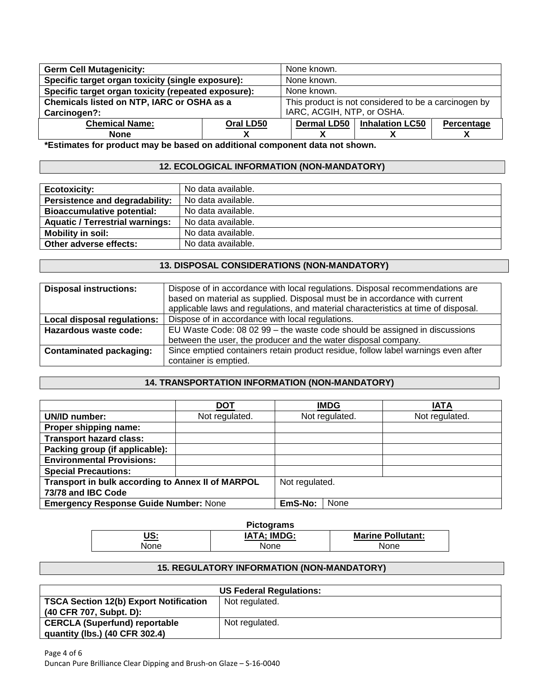| <b>Germ Cell Mutagenicity:</b>                      |           | None known.                                          |                        |            |
|-----------------------------------------------------|-----------|------------------------------------------------------|------------------------|------------|
| Specific target organ toxicity (single exposure):   |           | None known.                                          |                        |            |
| Specific target organ toxicity (repeated exposure): |           | None known.                                          |                        |            |
| Chemicals listed on NTP, IARC or OSHA as a          |           | This product is not considered to be a carcinogen by |                        |            |
| Carcinogen?:                                        |           | IARC, ACGIH, NTP, or OSHA.                           |                        |            |
| <b>Chemical Name:</b>                               | Oral LD50 | <b>Dermal LD50</b>                                   | <b>Inhalation LC50</b> | Percentage |
| <b>None</b>                                         |           |                                                      |                        |            |

**\*Estimates for product may be based on additional component data not shown.**

## **12. ECOLOGICAL INFORMATION (NON-MANDATORY)**

| <b>Ecotoxicity:</b>                    | No data available. |
|----------------------------------------|--------------------|
| Persistence and degradability:         | No data available. |
| <b>Bioaccumulative potential:</b>      | No data available. |
| <b>Aquatic / Terrestrial warnings:</b> | No data available. |
| Mobility in soil:                      | No data available. |
| Other adverse effects:                 | No data available. |

## **13. DISPOSAL CONSIDERATIONS (NON-MANDATORY)**

| <b>Disposal instructions:</b>  | Dispose of in accordance with local regulations. Disposal recommendations are<br>based on material as supplied. Disposal must be in accordance with current<br>applicable laws and regulations, and material characteristics at time of disposal. |
|--------------------------------|---------------------------------------------------------------------------------------------------------------------------------------------------------------------------------------------------------------------------------------------------|
| Local disposal regulations:    | Dispose of in accordance with local regulations.                                                                                                                                                                                                  |
| Hazardous waste code:          | EU Waste Code: 08 02 99 - the waste code should be assigned in discussions                                                                                                                                                                        |
|                                | between the user, the producer and the water disposal company.                                                                                                                                                                                    |
| <b>Contaminated packaging:</b> | Since emptied containers retain product residue, follow label warnings even after                                                                                                                                                                 |
|                                | container is emptied.                                                                                                                                                                                                                             |

## **14. TRANSPORTATION INFORMATION (NON-MANDATORY)**

|                                                   | <b>DOT</b>     |      | <b>IMDG</b>    | IATA           |
|---------------------------------------------------|----------------|------|----------------|----------------|
| UN/ID number:                                     | Not regulated. |      | Not regulated. | Not regulated. |
| Proper shipping name:                             |                |      |                |                |
| <b>Transport hazard class:</b>                    |                |      |                |                |
| Packing group (if applicable):                    |                |      |                |                |
| <b>Environmental Provisions:</b>                  |                |      |                |                |
| <b>Special Precautions:</b>                       |                |      |                |                |
| Transport in bulk according to Annex II of MARPOL | Not regulated. |      |                |                |
| 73/78 and IBC Code                                |                |      |                |                |
| <b>Emergency Response Guide Number: None</b>      | EmS-No:        | None |                |                |

| <b>Pictograms</b> |                    |                          |  |  |  |
|-------------------|--------------------|--------------------------|--|--|--|
| US:               | <b>IATA: IMDG:</b> | <b>Marine Pollutant:</b> |  |  |  |
| <b>None</b>       | None               | None                     |  |  |  |

#### **15. REGULATORY INFORMATION (NON-MANDATORY)**

| <b>US Federal Regulations:</b>                |                |  |  |  |
|-----------------------------------------------|----------------|--|--|--|
| <b>TSCA Section 12(b) Export Notification</b> | Not regulated. |  |  |  |
| (40 CFR 707, Subpt. D):                       |                |  |  |  |
| <b>CERCLA (Superfund) reportable</b>          | Not regulated. |  |  |  |
| quantity (lbs.) (40 CFR 302.4)                |                |  |  |  |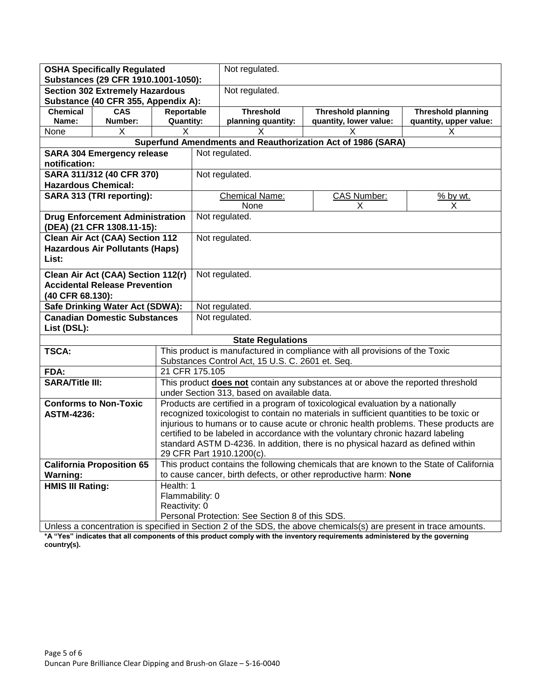| <b>OSHA Specifically Regulated</b>                                                                                |                                        | Not regulated.                                                                                                                                                           |                                                                                 |                                                                            |                                                             |          |  |
|-------------------------------------------------------------------------------------------------------------------|----------------------------------------|--------------------------------------------------------------------------------------------------------------------------------------------------------------------------|---------------------------------------------------------------------------------|----------------------------------------------------------------------------|-------------------------------------------------------------|----------|--|
| Substances (29 CFR 1910.1001-1050):                                                                               |                                        |                                                                                                                                                                          |                                                                                 |                                                                            |                                                             |          |  |
| <b>Section 302 Extremely Hazardous</b><br>Substance (40 CFR 355, Appendix A):                                     |                                        |                                                                                                                                                                          | Not regulated.                                                                  |                                                                            |                                                             |          |  |
| <b>Chemical</b>                                                                                                   | <b>CAS</b>                             | Reportable                                                                                                                                                               |                                                                                 | <b>Threshold</b><br><b>Threshold planning</b><br><b>Threshold planning</b> |                                                             |          |  |
| Name:                                                                                                             | Number:                                | <b>Quantity:</b>                                                                                                                                                         |                                                                                 | planning quantity:<br>quantity, lower value:<br>quantity, upper value:     |                                                             |          |  |
| None                                                                                                              | X                                      | X                                                                                                                                                                        |                                                                                 | х                                                                          |                                                             |          |  |
|                                                                                                                   |                                        |                                                                                                                                                                          |                                                                                 |                                                                            | Superfund Amendments and Reauthorization Act of 1986 (SARA) |          |  |
|                                                                                                                   | <b>SARA 304 Emergency release</b>      |                                                                                                                                                                          |                                                                                 | Not regulated.                                                             |                                                             |          |  |
| notification:                                                                                                     |                                        |                                                                                                                                                                          |                                                                                 |                                                                            |                                                             |          |  |
|                                                                                                                   | SARA 311/312 (40 CFR 370)              |                                                                                                                                                                          |                                                                                 | Not regulated.                                                             |                                                             |          |  |
| <b>Hazardous Chemical:</b>                                                                                        |                                        |                                                                                                                                                                          |                                                                                 |                                                                            |                                                             |          |  |
|                                                                                                                   | SARA 313 (TRI reporting):              |                                                                                                                                                                          |                                                                                 | Chemical Name:                                                             | <b>CAS Number:</b>                                          | % by wt. |  |
|                                                                                                                   |                                        |                                                                                                                                                                          |                                                                                 | None                                                                       | X                                                           | X        |  |
|                                                                                                                   | <b>Drug Enforcement Administration</b> |                                                                                                                                                                          |                                                                                 | Not regulated.                                                             |                                                             |          |  |
|                                                                                                                   | (DEA) (21 CFR 1308.11-15):             |                                                                                                                                                                          |                                                                                 |                                                                            |                                                             |          |  |
|                                                                                                                   | Clean Air Act (CAA) Section 112        |                                                                                                                                                                          |                                                                                 | Not regulated.                                                             |                                                             |          |  |
|                                                                                                                   | <b>Hazardous Air Pollutants (Haps)</b> |                                                                                                                                                                          |                                                                                 |                                                                            |                                                             |          |  |
|                                                                                                                   | List:                                  |                                                                                                                                                                          |                                                                                 |                                                                            |                                                             |          |  |
| Clean Air Act (CAA) Section 112(r)                                                                                |                                        |                                                                                                                                                                          |                                                                                 | Not regulated.                                                             |                                                             |          |  |
|                                                                                                                   | <b>Accidental Release Prevention</b>   |                                                                                                                                                                          |                                                                                 |                                                                            |                                                             |          |  |
| (40 CFR 68.130):                                                                                                  |                                        |                                                                                                                                                                          |                                                                                 |                                                                            |                                                             |          |  |
| Safe Drinking Water Act (SDWA):                                                                                   |                                        |                                                                                                                                                                          |                                                                                 | Not regulated.                                                             |                                                             |          |  |
| <b>Canadian Domestic Substances</b>                                                                               |                                        |                                                                                                                                                                          |                                                                                 | Not regulated.                                                             |                                                             |          |  |
| List (DSL):                                                                                                       |                                        |                                                                                                                                                                          |                                                                                 |                                                                            |                                                             |          |  |
|                                                                                                                   |                                        |                                                                                                                                                                          |                                                                                 | <b>State Regulations</b>                                                   |                                                             |          |  |
| TSCA:                                                                                                             |                                        | This product is manufactured in compliance with all provisions of the Toxic                                                                                              |                                                                                 |                                                                            |                                                             |          |  |
|                                                                                                                   |                                        |                                                                                                                                                                          | Substances Control Act, 15 U.S. C. 2601 et. Seq.                                |                                                                            |                                                             |          |  |
| FDA:                                                                                                              |                                        | 21 CFR 175.105                                                                                                                                                           |                                                                                 |                                                                            |                                                             |          |  |
| <b>SARA/Title III:</b>                                                                                            |                                        |                                                                                                                                                                          | This product does not contain any substances at or above the reported threshold |                                                                            |                                                             |          |  |
|                                                                                                                   |                                        | under Section 313, based on available data.                                                                                                                              |                                                                                 |                                                                            |                                                             |          |  |
|                                                                                                                   | <b>Conforms to Non-Toxic</b>           | Products are certified in a program of toxicological evaluation by a nationally                                                                                          |                                                                                 |                                                                            |                                                             |          |  |
| <b>ASTM-4236:</b>                                                                                                 |                                        | recognized toxicologist to contain no materials in sufficient quantities to be toxic or                                                                                  |                                                                                 |                                                                            |                                                             |          |  |
|                                                                                                                   |                                        | injurious to humans or to cause acute or chronic health problems. These products are<br>certified to be labeled in accordance with the voluntary chronic hazard labeling |                                                                                 |                                                                            |                                                             |          |  |
|                                                                                                                   |                                        | standard ASTM D-4236. In addition, there is no physical hazard as defined within                                                                                         |                                                                                 |                                                                            |                                                             |          |  |
|                                                                                                                   |                                        | 29 CFR Part 1910.1200(c).                                                                                                                                                |                                                                                 |                                                                            |                                                             |          |  |
|                                                                                                                   | <b>California Proposition 65</b>       | This product contains the following chemicals that are known to the State of California                                                                                  |                                                                                 |                                                                            |                                                             |          |  |
| <b>Warning:</b>                                                                                                   |                                        | to cause cancer, birth defects, or other reproductive harm: None                                                                                                         |                                                                                 |                                                                            |                                                             |          |  |
| <b>HMIS III Rating:</b>                                                                                           |                                        | Health: 1                                                                                                                                                                |                                                                                 |                                                                            |                                                             |          |  |
|                                                                                                                   |                                        |                                                                                                                                                                          | Flammability: 0                                                                 |                                                                            |                                                             |          |  |
|                                                                                                                   |                                        | Reactivity: 0                                                                                                                                                            |                                                                                 |                                                                            |                                                             |          |  |
|                                                                                                                   |                                        |                                                                                                                                                                          | Personal Protection: See Section 8 of this SDS.                                 |                                                                            |                                                             |          |  |
| Unless a concentration is specified in Section 2 of the SDS, the above chemicals(s) are present in trace amounts. |                                        |                                                                                                                                                                          |                                                                                 |                                                                            |                                                             |          |  |

**\*A "Yes" indicates that all components of this product comply with the inventory requirements administered by the governing country(s).**